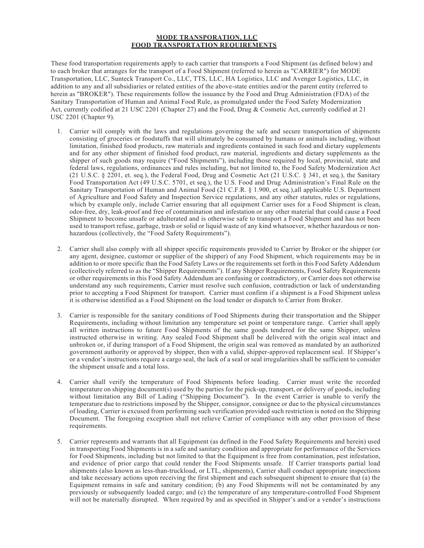## **MODE TRANSPORATION, LLC FOOD TRANSPORTATION REQUIREMENTS**

These food transportation requirements apply to each carrier that transports a Food Shipment (as defined below) and to each broker that arranges for the transport of a Food Shipment (referred to herein as "CARRIER") for MODE Transportation, LLC, Sunteck Transport Co., LLC, TTS, LLC, HA Logistics, LLC and Avenger Logistics, LLC, in addition to any and all subsidiaries or related entities of the above-state entities and/or the parent entity (referred to herein as "BROKER"). These requirements follow the issuance by the Food and Drug Administration (FDA) of the Sanitary Transportation of Human and Animal Food Rule, as promulgated under the Food Safety Modernization Act, currently codified at 21 USC 2201 (Chapter 27) and the Food, Drug & Cosmetic Act, currently codified at 21 USC 2201 (Chapter 9).

- 1. Carrier will comply with the laws and regulations governing the safe and secure transportation of shipments consisting of groceries or foodstuffs that will ultimately be consumed by humans or animals including, without limitation, finished food products, raw materials and ingredients contained in such food and dietary supplements and for any other shipment of finished food product, raw material, ingredients and dietary supplements as the shipper of such goods may require ("Food Shipments"), including those required by local, provincial, state and federal laws, regulations, ordinances and rules including, but not limited to, the Food Safety Modernization Act (21 U.S.C. § 2201, et. seq.), the Federal Food, Drug and Cosmetic Act (21 U.S.C. § 341, et seq.), the Sanitary Food Transportation Act (49 U.S.C. 5701, et seq.), the U.S. Food and Drug Administration's Final Rule on the Sanitary Transportation of Human and Animal Food (21 C.F.R. § 1.900, et seq.),all applicable U.S. Department of Agriculture and Food Safety and Inspection Service regulations, and any other statutes, rules or regulations, which by example only, include Carrier ensuring that all equipment Carrier uses for a Food Shipment is clean, odor-free, dry, leak-proof and free of contamination and infestation or any other material that could cause a Food Shipment to become unsafe or adulterated and is otherwise safe to transport a Food Shipment and has not been used to transport refuse, garbage, trash or solid or liquid waste of any kind whatsoever, whether hazardous or nonhazardous (collectively, the "Food Safety Requirements").
- 2. Carrier shall also comply with all shipper specific requirements provided to Carrier by Broker or the shipper (or any agent, designee, customer or supplier of the shipper) of any Food Shipment, which requirements may be in addition to or more specific than the Food Safety Laws or the requirements set forth in this Food Safety Addendum (collectively referred to as the "Shipper Requirements"). If any Shipper Requirements, Food Safety Requirements or other requirements in this Food Safety Addendum are confusing or contradictory, or Carrier does not otherwise understand any such requirements, Carrier must resolve such confusion, contradiction or lack of understanding prior to accepting a Food Shipment for transport. Carrier must confirm if a shipment is a Food Shipment unless it is otherwise identified as a Food Shipment on the load tender or dispatch to Carrier from Broker.
- 3. Carrier is responsible for the sanitary conditions of Food Shipments during their transportation and the Shipper Requirements, including without limitation any temperature set point or temperature range. Carrier shall apply all written instructions to future Food Shipments of the same goods tendered for the same Shipper, unless instructed otherwise in writing. Any sealed Food Shipment shall be delivered with the origin seal intact and unbroken or, if during transport of a Food Shipment, the origin seal was removed as mandated by an authorized government authority or approved by shipper, then with a valid, shipper-approved replacement seal. If Shipper's or a vendor's instructions require a cargo seal, the lack of a seal or seal irregularities shall be sufficient to consider the shipment unsafe and a total loss.
- 4. Carrier shall verify the temperature of Food Shipments before loading. Carrier must write the recorded temperature on shipping document(s) used by the parties for the pick-up, transport, or delivery of goods, including without limitation any Bill of Lading ("Shipping Document"). In the event Carrier is unable to verify the temperature due to restrictions imposed by the Shipper, consignor, consignee or due to the physical circumstances of loading, Carrier is excused from performing such verification provided such restriction is noted on the Shipping Document. The foregoing exception shall not relieve Carrier of compliance with any other provision of these requirements.
- 5. Carrier represents and warrants that all Equipment (as defined in the Food Safety Requirements and herein) used in transporting Food Shipments is in a safe and sanitary condition and appropriate for performance of the Services for Food Shipments, including but not limited to that the Equipment is free from contamination, pest infestation, and evidence of prior cargo that could render the Food Shipments unsafe. If Carrier transports partial load shipments (also known as less-than-truckload, or LTL, shipments), Carrier shall conduct appropriate inspections and take necessary actions upon receiving the first shipment and each subsequent shipment to ensure that (a) the Equipment remains in safe and sanitary condition; (b) any Food Shipments will not be contaminated by any previously or subsequently loaded cargo; and (c) the temperature of any temperature-controlled Food Shipment will not be materially disrupted. When required by and as specified in Shipper's and/or a vendor's instructions